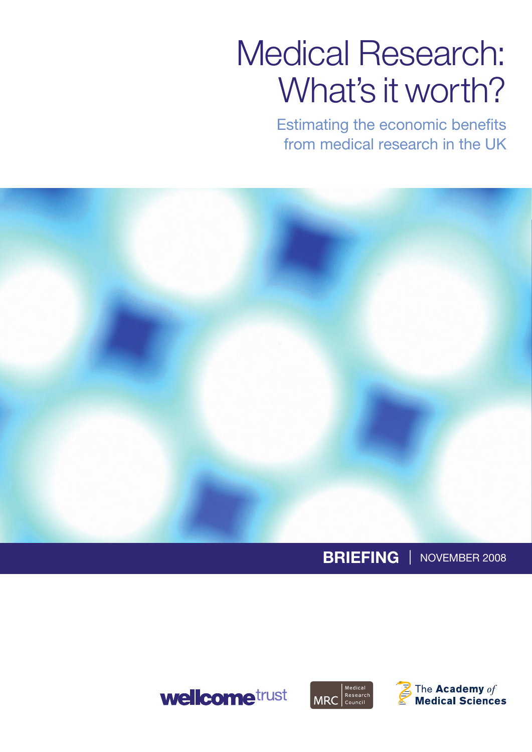# Medical Research: What's it worth?

Estimating the economic benefits from medical research in the UK



# **Briefing |** November 2008





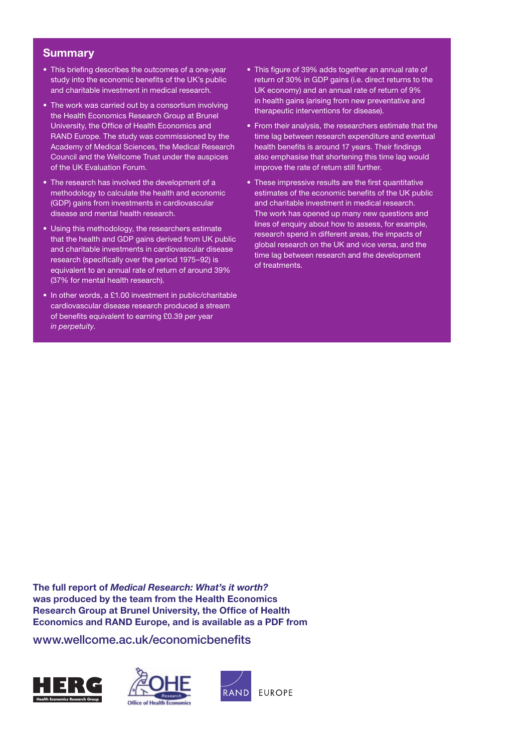#### **Summary**

- This briefing describes the outcomes of a one-year study into the economic benefits of the UK's public and charitable investment in medical research.
- The work was carried out by a consortium involving the Health Economics Research Group at Brunel University, the Office of Health Economics and RAND Europe. The study was commissioned by the Academy of Medical Sciences, the Medical Research Council and the Wellcome Trust under the auspices of the UK Evaluation Forum.
- The research has involved the development of a methodology to calculate the health and economic (GDP) gains from investments in cardiovascular disease and mental health research.
- • Using this methodology, the researchers estimate that the health and GDP gains derived from UK public and charitable investments in cardiovascular disease research (specifically over the period 1975–92) is equivalent to an annual rate of return of around 39% (37% for mental health research).
- In other words, a £1.00 investment in public/charitable cardiovascular disease research produced a stream of benefits equivalent to earning £0.39 per year *in perpetuity*.
- This figure of 39% adds together an annual rate of return of 30% in GDP gains (i.e. direct returns to the UK economy) and an annual rate of return of 9% in health gains (arising from new preventative and therapeutic interventions for disease).
- From their analysis, the researchers estimate that the time lag between research expenditure and eventual health benefits is around 17 years. Their findings also emphasise that shortening this time lag would improve the rate of return still further.
- These impressive results are the first quantitative estimates of the economic benefits of the UK public and charitable investment in medical research. The work has opened up many new questions and lines of enquiry about how to assess, for example, research spend in different areas, the impacts of global research on the UK and vice versa, and the time lag between research and the development of treatments.

**The full report of** *Medical Research: What's it worth?* **was produced by the team from the Health Economics Research Group at Brunel University, the Office of Health Economics and RAND Europe, and is available as a PDF from** 

www.wellcome.ac.uk/economicbenefits

![](_page_1_Picture_11.jpeg)

![](_page_1_Picture_12.jpeg)

![](_page_1_Picture_13.jpeg)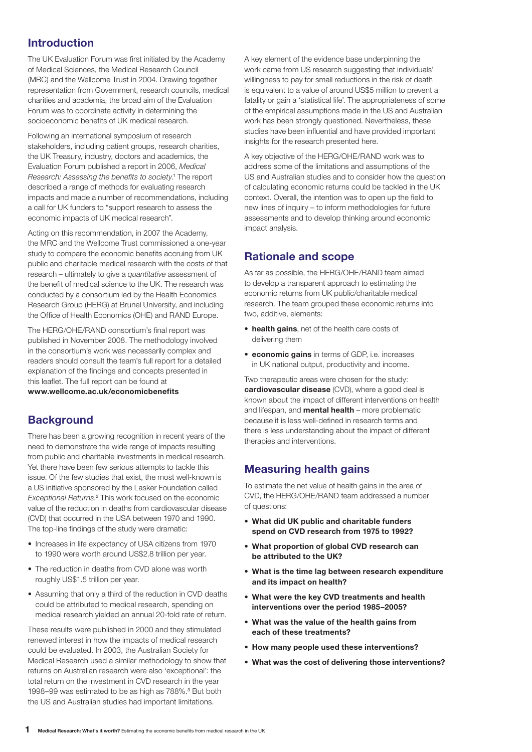### **Introduction**

The UK Evaluation Forum was first initiated by the Academy of Medical Sciences, the Medical Research Council (MRC) and the Wellcome Trust in 2004. Drawing together representation from Government, research councils, medical charities and academia, the broad aim of the Evaluation Forum was to coordinate activity in determining the socioeconomic benefits of UK medical research.

Following an international symposium of research stakeholders, including patient groups, research charities, the UK Treasury, industry, doctors and academics, the Evaluation Forum published a report in 2006, *Medical Research: Assessing the benefits to society*. 1 The report described a range of methods for evaluating research impacts and made a number of recommendations, including a call for UK funders to "support research to assess the economic impacts of UK medical research".

Acting on this recommendation, in 2007 the Academy, the MRC and the Wellcome Trust commissioned a one-year study to compare the economic benefits accruing from UK public and charitable medical research with the costs of that research – ultimately to give a *quantitative* assessment of the benefit of medical science to the UK. The research was conducted by a consortium led by the Health Economics Research Group (HERG) at Brunel University, and including the Office of Health Economics (OHE) and RAND Europe.

The HERG/OHE/RAND consortium's final report was published in November 2008. The methodology involved in the consortium's work was necessarily complex and readers should consult the team's full report for a detailed explanation of the findings and concepts presented in this leaflet. The full report can be found at **www.wellcome.ac.uk/economicbenefits**

# **Background**

There has been a growing recognition in recent years of the need to demonstrate the wide range of impacts resulting from public and charitable investments in medical research. Yet there have been few serious attempts to tackle this issue. Of the few studies that exist, the most well-known is a US initiative sponsored by the Lasker Foundation called Exceptional Returns.<sup>2</sup> This work focused on the economic value of the reduction in deaths from cardiovascular disease (CVD) that occurred in the USA between 1970 and 1990. The top-line findings of the study were dramatic:

- Increases in life expectancy of USA citizens from 1970 to 1990 were worth around US\$2.8 trillion per year.
- The reduction in deaths from CVD alone was worth roughly US\$1.5 trillion per year.
- Assuming that only a third of the reduction in CVD deaths could be attributed to medical research, spending on medical research yielded an annual 20-fold rate of return.

These results were published in 2000 and they stimulated renewed interest in how the impacts of medical research could be evaluated. In 2003, the Australian Society for Medical Research used a similar methodology to show that returns on Australian research were also 'exceptional': the total return on the investment in CVD research in the year 1998–99 was estimated to be as high as 788%.<sup>3</sup> But both the US and Australian studies had important limitations.

A key element of the evidence base underpinning the work came from US research suggesting that individuals' willingness to pay for small reductions in the risk of death is equivalent to a value of around US\$5 million to prevent a fatality or gain a 'statistical life'. The appropriateness of some of the empirical assumptions made in the US and Australian work has been strongly questioned. Nevertheless, these studies have been influential and have provided important insights for the research presented here.

A key objective of the HERG/OHE/RAND work was to address some of the limitations and assumptions of the US and Australian studies and to consider how the question of calculating economic returns could be tackled in the UK context. Overall, the intention was to open up the field to new lines of inquiry – to inform methodologies for future assessments and to develop thinking around economic impact analysis.

# **Rationale and scope**

As far as possible, the HERG/OHE/RAND team aimed to develop a transparent approach to estimating the economic returns from UK public/charitable medical research. The team grouped these economic returns into two, additive, elements:

- • **health gains**, net of the health care costs of delivering them
- • **economic gains** in terms of GDP, i.e. increases in UK national output, productivity and income.

Two therapeutic areas were chosen for the study: **cardiovascular disease** (CVD), where a good deal is known about the impact of different interventions on health and lifespan, and **mental health** – more problematic because it is less well-defined in research terms and there is less understanding about the impact of different therapies and interventions.

# **Measuring health gains**

To estimate the net value of health gains in the area of CVD, the HERG/OHE/RAND team addressed a number of questions:

- **• What did UK public and charitable funders spend on CVD research from 1975 to 1992?**
- **• What proportion of global CVD research can be attributed to the UK?**
- **• What is the time lag between research expenditure and its impact on health?**
- **• What were the key CVD treatments and health interventions over the period 1985–2005?**
- **• What was the value of the health gains from each of these treatments?**
- **• How many people used these interventions?**
- **• What was the cost of delivering those interventions?**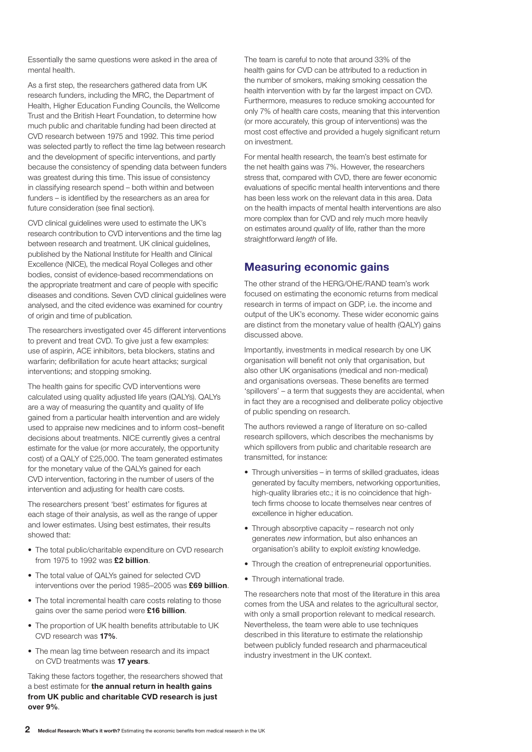Essentially the same questions were asked in the area of mental health.

As a first step, the researchers gathered data from UK research funders, including the MRC, the Department of Health, Higher Education Funding Councils, the Wellcome Trust and the British Heart Foundation, to determine how much public and charitable funding had been directed at CVD research between 1975 and 1992. This time period was selected partly to reflect the time lag between research and the development of specific interventions, and partly because the consistency of spending data between funders was greatest during this time. This issue of consistency in classifying research spend – both within and between funders – is identified by the researchers as an area for future consideration (see final section).

CVD clinical guidelines were used to estimate the UK's research contribution to CVD interventions and the time lag between research and treatment. UK clinical guidelines, published by the National Institute for Health and Clinical Excellence (NICE), the medical Royal Colleges and other bodies, consist of evidence-based recommendations on the appropriate treatment and care of people with specific diseases and conditions. Seven CVD clinical guidelines were analysed, and the cited evidence was examined for country of origin and time of publication.

The researchers investigated over 45 different interventions to prevent and treat CVD. To give just a few examples: use of aspirin, ACE inhibitors, beta blockers, statins and warfarin; defibrillation for acute heart attacks; surgical interventions; and stopping smoking.

The health gains for specific CVD interventions were calculated using quality adjusted life years (QALYs). QALYs are a way of measuring the quantity and quality of life gained from a particular health intervention and are widely used to appraise new medicines and to inform cost–benefit decisions about treatments. NICE currently gives a central estimate for the value (or more accurately, the opportunity cost) of a QALY of £25,000. The team generated estimates for the monetary value of the QALYs gained for each CVD intervention, factoring in the number of users of the intervention and adjusting for health care costs.

The researchers present 'best' estimates for figures at each stage of their analysis, as well as the range of upper and lower estimates. Using best estimates, their results showed that:

- The total public/charitable expenditure on CVD research from 1975 to 1992 was **£2 billion**.
- The total value of QALYs gained for selected CVD interventions over the period 1985–2005 was **£69 billion**.
- The total incremental health care costs relating to those gains over the same period were **£16 billion**.
- The proportion of UK health benefits attributable to UK CVD research was **17%**.
- The mean lag time between research and its impact on CVD treatments was **17 years**.

Taking these factors together, the researchers showed that a best estimate for **the annual return in health gains from UK public and charitable CVD research is just over 9%**.

The team is careful to note that around 33% of the health gains for CVD can be attributed to a reduction in the number of smokers, making smoking cessation the health intervention with by far the largest impact on CVD. Furthermore, measures to reduce smoking accounted for only 7% of health care costs, meaning that this intervention (or more accurately, this group of interventions) was the most cost effective and provided a hugely significant return on investment.

For mental health research, the team's best estimate for the net health gains was 7%. However, the researchers stress that, compared with CVD, there are fewer economic evaluations of specific mental health interventions and there has been less work on the relevant data in this area. Data on the health impacts of mental health interventions are also more complex than for CVD and rely much more heavily on estimates around *quality* of life, rather than the more straightforward *length* of life.

#### **Measuring economic gains**

The other strand of the HERG/OHE/RAND team's work focused on estimating the economic returns from medical research in terms of impact on GDP, i.e. the income and output of the UK's economy. These wider economic gains are distinct from the monetary value of health (QALY) gains discussed above.

Importantly, investments in medical research by one UK organisation will benefit not only that organisation, but also other UK organisations (medical and non-medical) and organisations overseas. These benefits are termed 'spillovers' – a term that suggests they are accidental, when in fact they are a recognised and deliberate policy objective of public spending on research.

The authors reviewed a range of literature on so-called research spillovers, which describes the mechanisms by which spillovers from public and charitable research are transmitted, for instance:

- Through universities in terms of skilled graduates, ideas generated by faculty members, networking opportunities, high-quality libraries etc.; it is no coincidence that hightech firms choose to locate themselves near centres of excellence in higher education.
- Through absorptive capacity research not only generates *new* information, but also enhances an organisation's ability to exploit *existing* knowledge.
- Through the creation of entrepreneurial opportunities.
- Through international trade.

The researchers note that most of the literature in this area comes from the USA and relates to the agricultural sector, with only a small proportion relevant to medical research. Nevertheless, the team were able to use techniques described in this literature to estimate the relationship between publicly funded research and pharmaceutical industry investment in the UK context.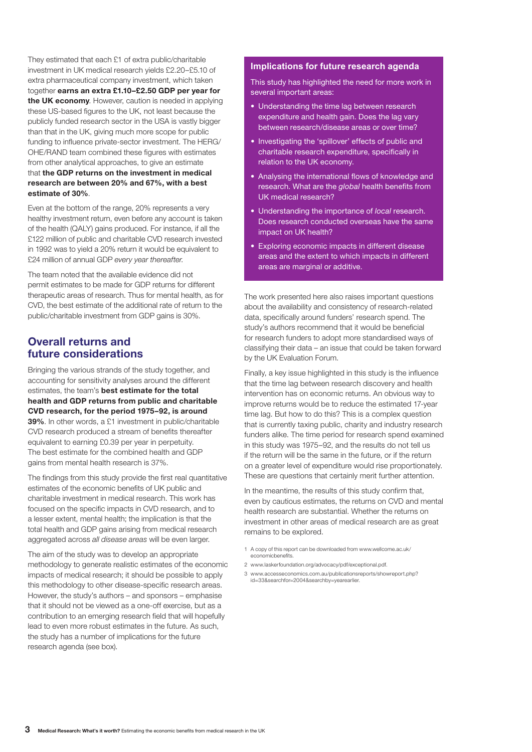They estimated that each £1 of extra public/charitable investment in UK medical research yields £2.20–£5.10 of extra pharmaceutical company investment, which taken together **earns an extra £1.10–£2.50 GDP per year for the UK economy**. However, caution is needed in applying these US-based figures to the UK, not least because the publicly funded research sector in the USA is vastly bigger than that in the UK, giving much more scope for public funding to influence private-sector investment. The HERG/ OHE/RAND team combined these figures with estimates from other analytical approaches, to give an estimate that **the GDP returns on the investment in medical research are between 20% and 67%, with a best estimate of 30%**.

Even at the bottom of the range, 20% represents a very healthy investment return, even before any account is taken of the health (QALY) gains produced. For instance, if all the £122 million of public and charitable CVD research invested in 1992 was to yield a 20% return it would be equivalent to £24 million of annual GDP *every year thereafter*.

The team noted that the available evidence did not permit estimates to be made for GDP returns for different therapeutic areas of research. Thus for mental health, as for CVD, the best estimate of the additional rate of return to the public/charitable investment from GDP gains is 30%.

#### **Overall returns and future considerations**

Bringing the various strands of the study together, and accounting for sensitivity analyses around the different estimates, the team's **best estimate for the total health and GDP returns from public and charitable CVD research, for the period 1975–92, is around 39%**. In other words, a £1 investment in public/charitable CVD research produced a stream of benefits thereafter equivalent to earning £0.39 per year in perpetuity. The best estimate for the combined health and GDP gains from mental health research is 37%.

The findings from this study provide the first real quantitative estimates of the economic benefits of UK public and charitable investment in medical research. This work has focused on the specific impacts in CVD research, and to a lesser extent, mental health; the implication is that the total health and GDP gains arising from medical research aggregated across *all disease areas* will be even larger.

The aim of the study was to develop an appropriate methodology to generate realistic estimates of the economic impacts of medical research; it should be possible to apply this methodology to other disease-specific research areas. However, the study's authors – and sponsors – emphasise that it should not be viewed as a one-off exercise, but as a contribution to an emerging research field that will hopefully lead to even more robust estimates in the future. As such, the study has a number of implications for the future research agenda (see box).

#### **Implications for future research agenda**

This study has highlighted the need for more work in several important areas:

- Understanding the time lag between research expenditure and health gain. Does the lag vary between research/disease areas or over time?
- Investigating the 'spillover' effects of public and charitable research expenditure, specifically in relation to the UK economy.
- Analysing the international flows of knowledge and research. What are the *global* health benefits from UK medical research?
- • Understanding the importance of *local* research. Does research conducted overseas have the same impact on UK health?
- Exploring economic impacts in different disease areas and the extent to which impacts in different areas are marginal or additive.

The work presented here also raises important questions about the availability and consistency of research-related data, specifically around funders' research spend. The study's authors recommend that it would be beneficial for research funders to adopt more standardised ways of classifying their data – an issue that could be taken forward by the UK Evaluation Forum.

Finally, a key issue highlighted in this study is the influence that the time lag between research discovery and health intervention has on economic returns. An obvious way to improve returns would be to reduce the estimated 17-year time lag. But how to do this? This is a complex question that is currently taxing public, charity and industry research funders alike. The time period for research spend examined in this study was 1975–92, and the results do not tell us if the return will be the same in the future, or if the return on a greater level of expenditure would rise proportionately. These are questions that certainly merit further attention.

In the meantime, the results of this study confirm that, even by cautious estimates, the returns on CVD and mental health research are substantial. Whether the returns on investment in other areas of medical research are as great remains to be explored.

- 1 A copy of this report can be downloaded from www.wellcome.ac.uk/ economicbenefits.
- 2 www.laskerfoundation.org/advocacy/pdf/exceptional.pdf.
- 3 www.accesseconomics.com.au/publicationsreports/showreport.php? id=33&searchfor=2004&searchby=yearearlier.